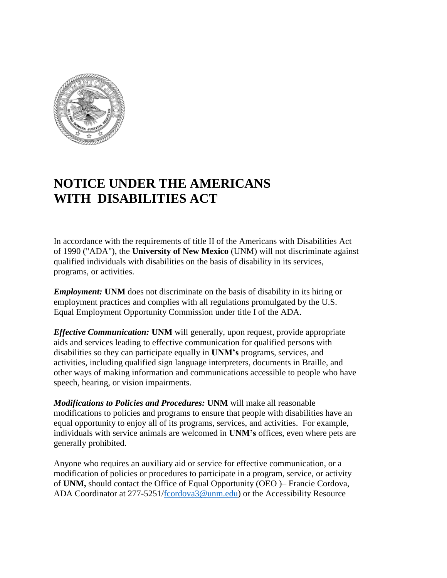

## **NOTICE UNDER THE AMERICANS WITH DISABILITIES ACT**

In accordance with the requirements of title II of the Americans with Disabilities Act of 1990 ("ADA"), the **University of New Mexico** (UNM) will not discriminate against qualified individuals with disabilities on the basis of disability in its services, programs, or activities.

*Employment:* **UNM** does not discriminate on the basis of disability in its hiring or employment practices and complies with all regulations promulgated by the U.S. Equal Employment Opportunity Commission under title I of the ADA.

*Effective Communication:* **UNM** will generally, upon request, provide appropriate aids and services leading to effective communication for qualified persons with disabilities so they can participate equally in **UNM's** programs, services, and activities, including qualified sign language interpreters, documents in Braille, and other ways of making information and communications accessible to people who have speech, hearing, or vision impairments.

*Modifications to Policies and Procedures:* **UNM** will make all reasonable modifications to policies and programs to ensure that people with disabilities have an equal opportunity to enjoy all of its programs, services, and activities. For example, individuals with service animals are welcomed in **UNM's** offices, even where pets are generally prohibited.

Anyone who requires an auxiliary aid or service for effective communication, or a modification of policies or procedures to participate in a program, service, or activity of **UNM,** should contact the Office of Equal Opportunity (OEO )– Francie Cordova, ADA Coordinator at 277-5251[/fcordova3@unm.edu\)](mailto:fcordova3@unm.edu) or the Accessibility Resource